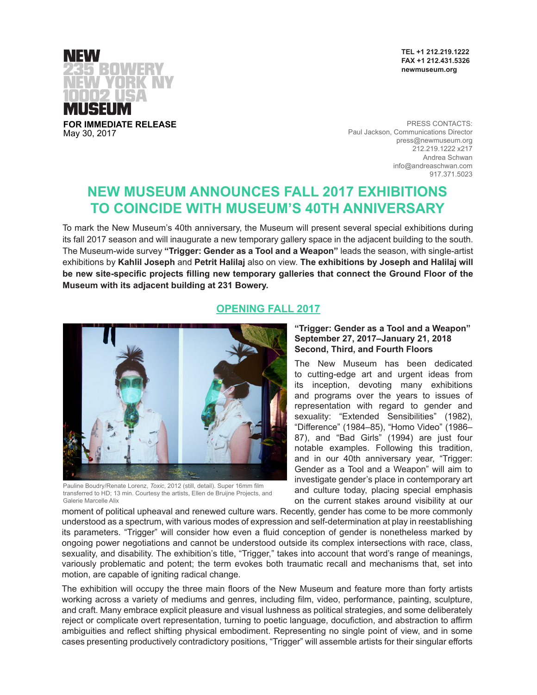

NFW USEU **FOR IMMEDIATE RELEASE**

May 30, 2017

PRESS CONTACTS: Paul Jackson, Communications Director press@newmuseum.org 212.219.1222 x217 Andrea Schwan info@andreaschwan.com 917.371.5023

# **NEW MUSEUM ANNOUNCES FALL 2017 EXHIBITIONS TO COINCIDE WITH MUSEUM'S 40TH ANNIVERSARY**

To mark the New Museum's 40th anniversary, the Museum will present several special exhibitions during its fall 2017 season and will inaugurate a new temporary gallery space in the adjacent building to the south. The Museum-wide survey **"Trigger: Gender as a Tool and a Weapon"** leads the season, with single-artist exhibitions by **Kahlil Joseph** and **Petrit Halilaj** also on view. **The exhibitions by Joseph and Halilaj will be new site-specific projects filling new temporary galleries that connect the Ground Floor of the Museum with its adjacent building at 231 Bowery.** 

# **OPENING FALL 2017**



Pauline Boudry/Renate Lorenz, *Toxic*, 2012 (still, detail). Super 16mm film transferred to HD; 13 min. Courtesy the artists, Ellen de Bruijne Projects, and Galerie Marcelle Alix

# **"Trigger: Gender as a Tool and a Weapon" September 27, 2017–January 21, 2018 Second, Third, and Fourth Floors**

The New Museum has been dedicated to cutting-edge art and urgent ideas from its inception, devoting many exhibitions and programs over the years to issues of representation with regard to gender and sexuality: "Extended Sensibilities" (1982), "Difference" (1984–85), "Homo Video" (1986– 87), and "Bad Girls" (1994) are just four notable examples. Following this tradition, and in our 40th anniversary year, "Trigger: Gender as a Tool and a Weapon" will aim to investigate gender's place in contemporary art and culture today, placing special emphasis on the current stakes around visibility at our

moment of political upheaval and renewed culture wars. Recently, gender has come to be more commonly understood as a spectrum, with various modes of expression and self-determination at play in reestablishing its parameters. "Trigger" will consider how even a fluid conception of gender is nonetheless marked by ongoing power negotiations and cannot be understood outside its complex intersections with race, class, sexuality, and disability. The exhibition's title, "Trigger," takes into account that word's range of meanings, variously problematic and potent; the term evokes both traumatic recall and mechanisms that, set into motion, are capable of igniting radical change.

The exhibition will occupy the three main floors of the New Museum and feature more than forty artists working across a variety of mediums and genres, including film, video, performance, painting, sculpture, and craft. Many embrace explicit pleasure and visual lushness as political strategies, and some deliberately reject or complicate overt representation, turning to poetic language, docufiction, and abstraction to affirm ambiguities and reflect shifting physical embodiment. Representing no single point of view, and in some cases presenting productively contradictory positions, "Trigger" will assemble artists for their singular efforts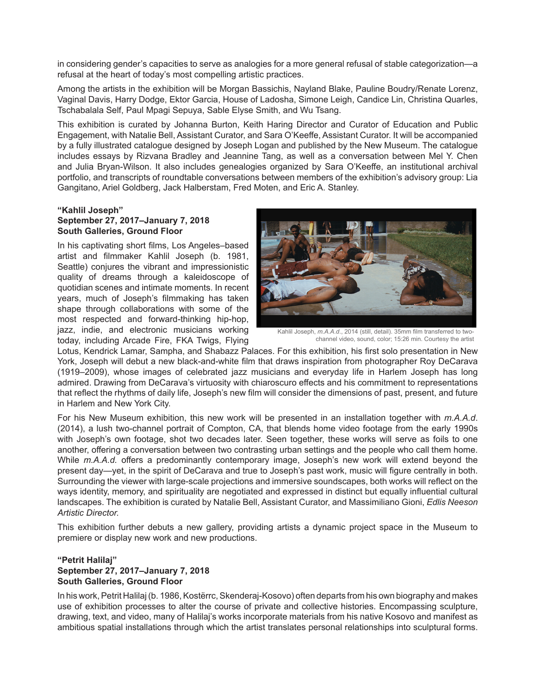in considering gender's capacities to serve as analogies for a more general refusal of stable categorization—a refusal at the heart of today's most compelling artistic practices.

Among the artists in the exhibition will be Morgan Bassichis, Nayland Blake, Pauline Boudry/Renate Lorenz, Vaginal Davis, Harry Dodge, Ektor Garcia, House of Ladosha, Simone Leigh, Candice Lin, Christina Quarles, Tschabalala Self, Paul Mpagi Sepuya, Sable Elyse Smith, and Wu Tsang.

This exhibition is curated by Johanna Burton, Keith Haring Director and Curator of Education and Public Engagement, with Natalie Bell, Assistant Curator, and Sara O'Keeffe, Assistant Curator. It will be accompanied by a fully illustrated catalogue designed by Joseph Logan and published by the New Museum. The catalogue includes essays by Rizvana Bradley and Jeannine Tang, as well as a conversation between Mel Y. Chen and Julia Bryan-Wilson. It also includes genealogies organized by Sara O'Keeffe, an institutional archival portfolio, and transcripts of roundtable conversations between members of the exhibition's advisory group: Lia Gangitano, Ariel Goldberg, Jack Halberstam, Fred Moten, and Eric A. Stanley.

### **"Kahlil Joseph" September 27, 2017–January 7, 2018 South Galleries, Ground Floor**

In his captivating short films, Los Angeles–based artist and filmmaker Kahlil Joseph (b. 1981, Seattle) conjures the vibrant and impressionistic quality of dreams through a kaleidoscope of quotidian scenes and intimate moments. In recent years, much of Joseph's filmmaking has taken shape through collaborations with some of the most respected and forward-thinking hip-hop, jazz, indie, and electronic musicians working today, including Arcade Fire, FKA Twigs, Flying



Kahlil Joseph, *m.A.A.d*., 2014 (still, detail). 35mm film transferred to twochannel video, sound, color; 15:26 min. Courtesy the artist

Lotus, Kendrick Lamar, Sampha, and Shabazz Palaces. For this exhibition, his first solo presentation in New York, Joseph will debut a new black-and-white film that draws inspiration from photographer Roy DeCarava (1919–2009), whose images of celebrated jazz musicians and everyday life in Harlem Joseph has long admired. Drawing from DeCarava's virtuosity with chiaroscuro effects and his commitment to representations that reflect the rhythms of daily life, Joseph's new film will consider the dimensions of past, present, and future in Harlem and New York City.

For his New Museum exhibition, this new work will be presented in an installation together with *m.A.A.d*. (2014), a lush two-channel portrait of Compton, CA, that blends home video footage from the early 1990s with Joseph's own footage, shot two decades later. Seen together, these works will serve as foils to one another, offering a conversation between two contrasting urban settings and the people who call them home. While *m.A.A.d.* offers a predominantly contemporary image, Joseph's new work will extend beyond the present day—yet, in the spirit of DeCarava and true to Joseph's past work, music will figure centrally in both. Surrounding the viewer with large-scale projections and immersive soundscapes, both works will reflect on the ways identity, memory, and spirituality are negotiated and expressed in distinct but equally influential cultural landscapes. The exhibition is curated by Natalie Bell, Assistant Curator, and Massimiliano Gioni, *Edlis Neeson Artistic Director.*

This exhibition further debuts a new gallery, providing artists a dynamic project space in the Museum to premiere or display new work and new productions.

# **"Petrit Halilaj" September 27, 2017–January 7, 2018 South Galleries, Ground Floor**

In his work, Petrit Halilaj (b. 1986, Kostërrc, Skenderaj-Kosovo) often departs from his own biography and makes use of exhibition processes to alter the course of private and collective histories. Encompassing sculpture, drawing, text, and video, many of Halilaj's works incorporate materials from his native Kosovo and manifest as ambitious spatial installations through which the artist translates personal relationships into sculptural forms.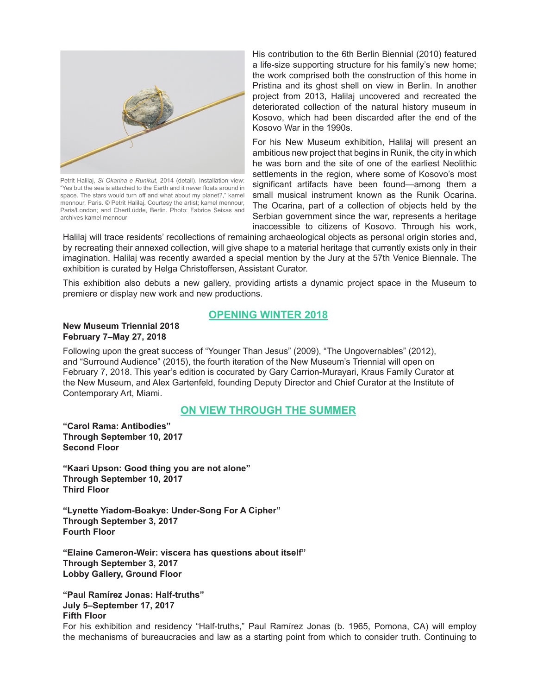

Petrit Halilaj, *Si Okarina e Runikut,* 2014 (detail). Installation view: "Yes but the sea is attached to the Earth and it never floats around in space. The stars would turn off and what about my planet?," kamel mennour, Paris. © Petrit Halilaj. Courtesy the artist; kamel mennour, Paris/London; and ChertLüdde, Berlin. Photo: Fabrice Seixas and archives kamel mennour

His contribution to the 6th Berlin Biennial (2010) featured a life-size supporting structure for his family's new home; the work comprised both the construction of this home in Pristina and its ghost shell on view in Berlin. In another project from 2013, Halilaj uncovered and recreated the deteriorated collection of the natural history museum in Kosovo, which had been discarded after the end of the Kosovo War in the 1990s.

For his New Museum exhibition, Halilaj will present an ambitious new project that begins in Runik, the city in which he was born and the site of one of the earliest Neolithic settlements in the region, where some of Kosovo's most significant artifacts have been found—among them a small musical instrument known as the Runik Ocarina. The Ocarina, part of a collection of objects held by the Serbian government since the war, represents a heritage inaccessible to citizens of Kosovo. Through his work,

Halilaj will trace residents' recollections of remaining archaeological objects as personal origin stories and, by recreating their annexed collection, will give shape to a material heritage that currently exists only in their imagination. Halilaj was recently awarded a special mention by the Jury at the 57th Venice Biennale. The exhibition is curated by Helga Christoffersen, Assistant Curator.

This exhibition also debuts a new gallery, providing artists a dynamic project space in the Museum to premiere or display new work and new productions.

# **OPENING WINTER 2018**

#### **New Museum Triennial 2018 February 7–May 27, 2018**

Following upon the great success of "Younger Than Jesus" (2009), "The Ungovernables" (2012), and "Surround Audience" (2015), the fourth iteration of the New Museum's Triennial will open on February 7, 2018. This year's edition is cocurated by Gary Carrion-Murayari, Kraus Family Curator at the New Museum, and Alex Gartenfeld, founding Deputy Director and Chief Curator at the Institute of Contemporary Art, Miami.

# **ON VIEW THROUGH THE SUMMER**

**"Carol Rama: Antibodies" Through September 10, 2017 Second Floor**

**"Kaari Upson: Good thing you are not alone" Through September 10, 2017 Third Floor**

**"Lynette Yiadom-Boakye: Under-Song For A Cipher" Through September 3, 2017 Fourth Floor**

**"Elaine Cameron-Weir: viscera has questions about itself" Through September 3, 2017 Lobby Gallery, Ground Floor**

**"Paul Ramírez Jonas: Half-truths" July 5–September 17, 2017 Fifth Floor**

For his exhibition and residency "Half-truths," Paul Ramírez Jonas (b. 1965, Pomona, CA) will employ the mechanisms of bureaucracies and law as a starting point from which to consider truth. Continuing to